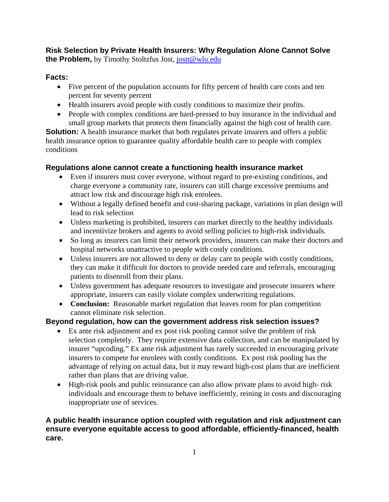# **Risk Selection by Private Health Insurers: Why Regulation Alone Cannot Solve the Problem,** by Timothy Stoltzfus Jost, jostt@wlu.edu

# **Facts:**

- Five percent of the population accounts for fifty percent of health care costs and ten percent for seventy percent
- Health insurers avoid people with costly conditions to maximize their profits.
- People with complex conditions are hard-pressed to buy insurance in the individual and small group markets that protects them financially against the high cost of health care.

**Solution:** A health insurance market that both regulates private insurers and offers a public health insurance option to guarantee quality affordable health care to people with complex conditions

# **Regulations alone cannot create a functioning health insurance market**

- Even if insurers must cover everyone, without regard to pre-existing conditions, and charge everyone a community rate, insurers can still charge excessive premiums and attract low risk and discourage high risk enrolees.
- Without a legally defined benefit and cost-sharing package, variations in plan design will lead to risk selection
- Unless marketing is prohibited, insurers can market directly to the healthy individuals and incentivize brokers and agents to avoid selling policies to high-risk individuals.
- So long as insurers can limit their network providers, insurers can make their doctors and hospital networks unattractive to people with costly conditions.
- Unless insurers are not allowed to deny or delay care to people with costly conditions, they can make it difficult for doctors to provide needed care and referrals, encouraging patients to disenroll from their plans.
- Unless government has adequate resources to investigate and prosecute insurers where appropriate, insurers can easily violate complex underwriting regulations.
- **Conclusion:** Reasonable market regulation that leaves room for plan competition cannot eliminate risk selection.

# **Beyond regulation, how can the government address risk selection issues?**

- Ex ante risk adjustment and ex post risk pooling cannot solve the problem of risk selection completely. They require extensive data collection, and can be manipulated by insurer "upcoding." Ex ante risk adjustment has rarely succeeded in encouraging private insurers to compete for enrolees with costly conditions. Ex post risk pooling has the advantage of relying on actual data, but it may reward high-cost plans that are inefficient rather than plans that are driving value.
- High-risk pools and public reinsurance can also allow private plans to avoid high- risk individuals and encourage them to behave inefficiently, reining in costs and discouraging inappropriate use of services.

# **A public health insurance option coupled with regulation and risk adjustment can ensure everyone equitable access to good affordable, efficiently-financed, health care.**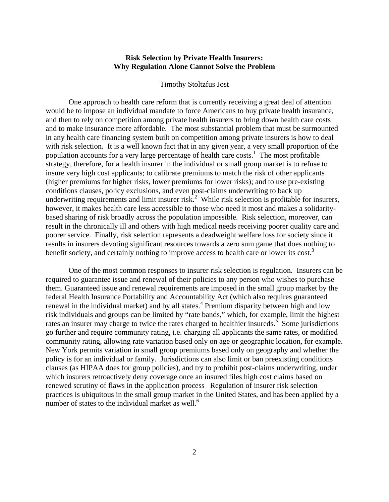## **Risk Selection by Private Health Insurers: Why Regulation Alone Cannot Solve the Problem**

#### Timothy Stoltzfus Jost

 One approach to health care reform that is currently receiving a great deal of attention would be to impose an individual mandate to force Americans to buy private health insurance, and then to rely on competition among private health insurers to bring down health care costs and to make insurance more affordable. The most substantial problem that must be surmounted in any health care financing system built on competition among private insurers is how to deal with risk selection. It is a well known fact that in any given year, a very small proportion of the population accounts for a very large percentage of health care  $costs<sup>1</sup>$ . The most profitable strategy, therefore, for a health insurer in the individual or small group market is to refuse to insure very high cost applicants; to calibrate premiums to match the risk of other applicants (higher premiums for higher risks, lower premiums for lower risks); and to use pre-existing conditions clauses, policy exclusions, and even post-claims underwriting to back up underwriting requirements and limit insurer risk.<sup>2</sup> While risk selection is profitable for insurers, however, it makes health care less accessible to those who need it most and makes a solidaritybased sharing of risk broadly across the population impossible. Risk selection, moreover, can result in the chronically ill and others with high medical needs receiving poorer quality care and poorer service. Finally, risk selection represents a deadweight welfare loss for society since it results in insurers devoting significant resources towards a zero sum game that does nothing to benefit society, and certainly nothing to improve access to health care or lower its cost.<sup>3</sup>

 One of the most common responses to insurer risk selection is regulation. Insurers can be required to guarantee issue and renewal of their policies to any person who wishes to purchase them. Guaranteed issue and renewal requirements are imposed in the small group market by the federal Health Insurance Portability and Accountability Act (which also requires guaranteed renewal in the individual market) and by all states.<sup>4</sup> Premium disparity between high and low risk individuals and groups can be limited by "rate bands," which, for example, limit the highest rates an insurer may charge to twice the rates charged to healthier insureds.<sup>5</sup> Some jurisdictions go further and require community rating, i.e. charging all applicants the same rates, or modified community rating, allowing rate variation based only on age or geographic location, for example. New York permits variation in small group premiums based only on geography and whether the policy is for an individual or family. Jurisdictions can also limit or ban preexisting conditions clauses (as HIPAA does for group policies), and try to prohibit post-claims underwriting, under which insurers retroactively deny coverage once an insured files high cost claims based on renewed scrutiny of flaws in the application process Regulation of insurer risk selection practices is ubiquitous in the small group market in the United States, and has been applied by a number of states to the individual market as well.<sup>6</sup>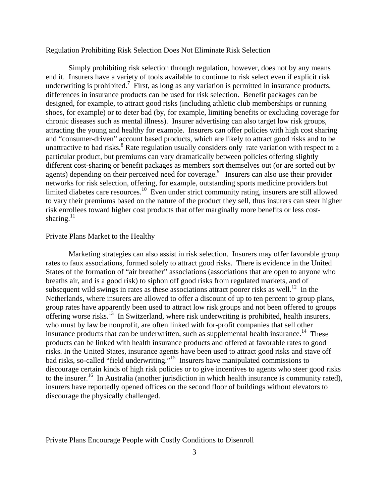## Regulation Prohibiting Risk Selection Does Not Eliminate Risk Selection

 Simply prohibiting risk selection through regulation, however, does not by any means end it. Insurers have a variety of tools available to continue to risk select even if explicit risk underwriting is prohibited.<sup>7</sup> First, as long as any variation is permitted in insurance products, differences in insurance products can be used for risk selection. Benefit packages can be designed, for example, to attract good risks (including athletic club memberships or running shoes, for example) or to deter bad (by, for example, limiting benefits or excluding coverage for chronic diseases such as mental illness). Insurer advertising can also target low risk groups, attracting the young and healthy for example. Insurers can offer policies with high cost sharing and "consumer-driven" account based products, which are likely to attract good risks and to be unattractive to bad risks.<sup>8</sup> Rate regulation usually considers only rate variation with respect to a particular product, but premiums can vary dramatically between policies offering slightly different cost-sharing or benefit packages as members sort themselves out (or are sorted out by agents) depending on their perceived need for coverage.<sup>9</sup> Insurers can also use their provider networks for risk selection, offering, for example, outstanding sports medicine providers but limited diabetes care resources.<sup>10</sup> Even under strict community rating, insurers are still allowed to vary their premiums based on the nature of the product they sell, thus insurers can steer higher risk enrollees toward higher cost products that offer marginally more benefits or less costsharing. $^{11}$ 

## Private Plans Market to the Healthy

 Marketing strategies can also assist in risk selection. Insurers may offer favorable group rates to faux associations, formed solely to attract good risks. There is evidence in the United States of the formation of "air breather" associations (associations that are open to anyone who breaths air, and is a good risk) to siphon off good risks from regulated markets, and of subsequent wild swings in rates as these associations attract poorer risks as well.<sup>12</sup> In the Netherlands, where insurers are allowed to offer a discount of up to ten percent to group plans, group rates have apparently been used to attract low risk groups and not been offered to groups offering worse risks.<sup>13</sup> In Switzerland, where risk underwriting is prohibited, health insurers, who must by law be nonprofit, are often linked with for-profit companies that sell other insurance products that can be underwritten, such as supplemental health insurance.<sup>14</sup> These products can be linked with health insurance products and offered at favorable rates to good risks. In the United States, insurance agents have been used to attract good risks and stave off bad risks, so-called "field underwriting."<sup>15</sup> Insurers have manipulated commissions to discourage certain kinds of high risk policies or to give incentives to agents who steer good risks to the insurer.<sup>16</sup> In Australia (another jurisdiction in which health insurance is community rated), insurers have reportedly opened offices on the second floor of buildings without elevators to discourage the physically challenged.

Private Plans Encourage People with Costly Conditions to Disenroll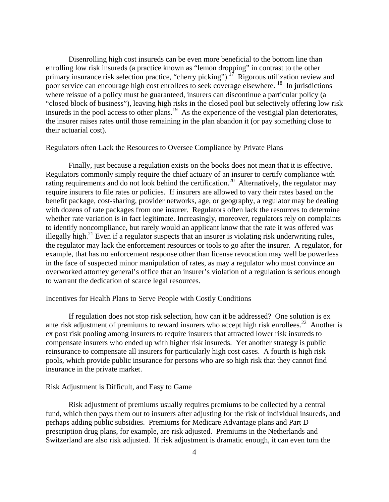Disenrolling high cost insureds can be even more beneficial to the bottom line than enrolling low risk insureds (a practice known as "lemon dropping" in contrast to the other primary insurance risk selection practice, "cherry picking").<sup>17</sup> Rigorous utilization review and poor service can encourage high cost enrollees to seek coverage elsewhere. 18 In jurisdictions where reissue of a policy must be guaranteed, insurers can discontinue a particular policy (a "closed block of business"), leaving high risks in the closed pool but selectively offering low risk insureds in the pool access to other plans.<sup>19</sup> As the experience of the vestigial plan deteriorates, the insurer raises rates until those remaining in the plan abandon it (or pay something close to their actuarial cost).

#### Regulators often Lack the Resources to Oversee Compliance by Private Plans

 Finally, just because a regulation exists on the books does not mean that it is effective. Regulators commonly simply require the chief actuary of an insurer to certify compliance with rating requirements and do not look behind the certification.<sup>20</sup> Alternatively, the regulator may require insurers to file rates or policies. If insurers are allowed to vary their rates based on the benefit package, cost-sharing, provider networks, age, or geography, a regulator may be dealing with dozens of rate packages from one insurer. Regulators often lack the resources to determine whether rate variation is in fact legitimate. Increasingly, moreover, regulators rely on complaints to identify noncompliance, but rarely would an applicant know that the rate it was offered was illegally high.<sup>21</sup> Even if a regulator suspects that an insurer is violating risk underwriting rules, the regulator may lack the enforcement resources or tools to go after the insurer. A regulator, for example, that has no enforcement response other than license revocation may well be powerless in the face of suspected minor manipulation of rates, as may a regulator who must convince an overworked attorney general's office that an insurer's violation of a regulation is serious enough to warrant the dedication of scarce legal resources.

### Incentives for Health Plans to Serve People with Costly Conditions

 If regulation does not stop risk selection, how can it be addressed? One solution is ex ante risk adjustment of premiums to reward insurers who accept high risk enrollees.<sup>22</sup> Another is ex post risk pooling among insurers to require insurers that attracted lower risk insureds to compensate insurers who ended up with higher risk insureds. Yet another strategy is public reinsurance to compensate all insurers for particularly high cost cases. A fourth is high risk pools, which provide public insurance for persons who are so high risk that they cannot find insurance in the private market.

## Risk Adjustment is Difficult, and Easy to Game

 Risk adjustment of premiums usually requires premiums to be collected by a central fund, which then pays them out to insurers after adjusting for the risk of individual insureds, and perhaps adding public subsidies. Premiums for Medicare Advantage plans and Part D prescription drug plans, for example, are risk adjusted. Premiums in the Netherlands and Switzerland are also risk adjusted. If risk adjustment is dramatic enough, it can even turn the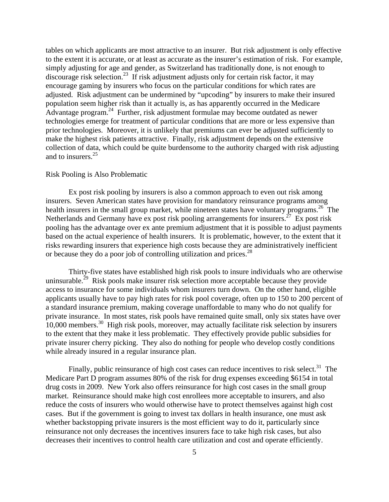tables on which applicants are most attractive to an insurer. But risk adjustment is only effective to the extent it is accurate, or at least as accurate as the insurer's estimation of risk. For example, simply adjusting for age and gender, as Switzerland has traditionally done, is not enough to discourage risk selection.23 If risk adjustment adjusts only for certain risk factor, it may encourage gaming by insurers who focus on the particular conditions for which rates are adjusted. Risk adjustment can be undermined by "upcoding" by insurers to make their insured population seem higher risk than it actually is, as has apparently occurred in the Medicare Advantage program.<sup>24</sup> Further, risk adjustment formulae may become outdated as newer technologies emerge for treatment of particular conditions that are more or less expensive than prior technologies. Moreover, it is unlikely that premiums can ever be adjusted sufficiently to make the highest risk patients attractive. Finally, risk adjustment depends on the extensive collection of data, which could be quite burdensome to the authority charged with risk adjusting and to insurers.<sup>25</sup>

## Risk Pooling is Also Problematic

 Ex post risk pooling by insurers is also a common approach to even out risk among insurers. Seven American states have provision for mandatory reinsurance programs among health insurers in the small group market, while nineteen states have voluntary programs.<sup>26</sup> The Netherlands and Germany have ex post risk pooling arrangements for insurers.<sup>27</sup> Ex post risk pooling has the advantage over ex ante premium adjustment that it is possible to adjust payments based on the actual experience of health insurers. It is problematic, however, to the extent that it risks rewarding insurers that experience high costs because they are administratively inefficient or because they do a poor job of controlling utilization and prices.<sup>28</sup>

 Thirty-five states have established high risk pools to insure individuals who are otherwise uninsurable.<sup>29</sup> Risk pools make insurer risk selection more acceptable because they provide access to insurance for some individuals whom insurers turn down. On the other hand, eligible applicants usually have to pay high rates for risk pool coverage, often up to 150 to 200 percent of a standard insurance premium, making coverage unaffordable to many who do not qualify for private insurance. In most states, risk pools have remained quite small, only six states have over 10,000 members.30 High risk pools, moreover, may actually facilitate risk selection by insurers to the extent that they make it less problematic. They effectively provide public subsidies for private insurer cherry picking. They also do nothing for people who develop costly conditions while already insured in a regular insurance plan.

Finally, public reinsurance of high cost cases can reduce incentives to risk select.<sup>31</sup> The Medicare Part D program assumes 80% of the risk for drug expenses exceeding \$6154 in total drug costs in 2009. New York also offers reinsurance for high cost cases in the small group market. Reinsurance should make high cost enrollees more acceptable to insurers, and also reduce the costs of insurers who would otherwise have to protect themselves against high cost cases. But if the government is going to invest tax dollars in health insurance, one must ask whether backstopping private insurers is the most efficient way to do it, particularly since reinsurance not only decreases the incentives insurers face to take high risk cases, but also decreases their incentives to control health care utilization and cost and operate efficiently.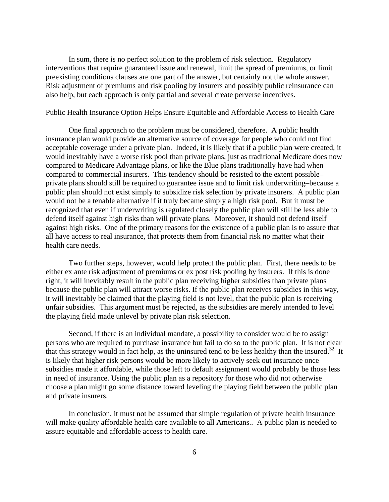In sum, there is no perfect solution to the problem of risk selection. Regulatory interventions that require guaranteed issue and renewal, limit the spread of premiums, or limit preexisting conditions clauses are one part of the answer, but certainly not the whole answer. Risk adjustment of premiums and risk pooling by insurers and possibly public reinsurance can also help, but each approach is only partial and several create perverse incentives.

## Public Health Insurance Option Helps Ensure Equitable and Affordable Access to Health Care

 One final approach to the problem must be considered, therefore. A public health insurance plan would provide an alternative source of coverage for people who could not find acceptable coverage under a private plan. Indeed, it is likely that if a public plan were created, it would inevitably have a worse risk pool than private plans, just as traditional Medicare does now compared to Medicare Advantage plans, or like the Blue plans traditionally have had when compared to commercial insurers. This tendency should be resisted to the extent possible– private plans should still be required to guarantee issue and to limit risk underwriting–because a public plan should not exist simply to subsidize risk selection by private insurers. A public plan would not be a tenable alternative if it truly became simply a high risk pool. But it must be recognized that even if underwriting is regulated closely the public plan will still be less able to defend itself against high risks than will private plans. Moreover, it should not defend itself against high risks. One of the primary reasons for the existence of a public plan is to assure that all have access to real insurance, that protects them from financial risk no matter what their health care needs.

 Two further steps, however, would help protect the public plan. First, there needs to be either ex ante risk adjustment of premiums or ex post risk pooling by insurers. If this is done right, it will inevitably result in the public plan receiving higher subsidies than private plans because the public plan will attract worse risks. If the public plan receives subsidies in this way, it will inevitably be claimed that the playing field is not level, that the public plan is receiving unfair subsidies. This argument must be rejected, as the subsidies are merely intended to level the playing field made unlevel by private plan risk selection.

 Second, if there is an individual mandate, a possibility to consider would be to assign persons who are required to purchase insurance but fail to do so to the public plan. It is not clear that this strategy would in fact help, as the uninsured tend to be less healthy than the insured.<sup>32</sup> It is likely that higher risk persons would be more likely to actively seek out insurance once subsidies made it affordable, while those left to default assignment would probably be those less in need of insurance. Using the public plan as a repository for those who did not otherwise choose a plan might go some distance toward leveling the playing field between the public plan and private insurers.

 In conclusion, it must not be assumed that simple regulation of private health insurance will make quality affordable health care available to all Americans.. A public plan is needed to assure equitable and affordable access to health care.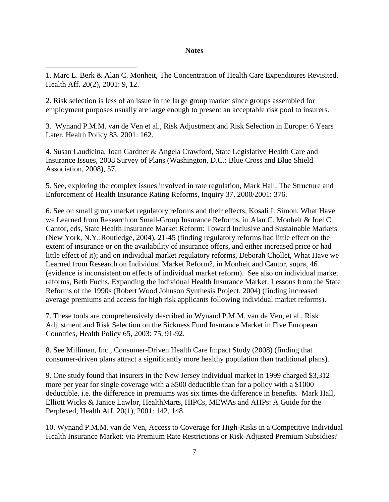#### **Notes**

1. Marc L. Berk & Alan C. Monheit, The Concentration of Health Care Expenditures Revisited, Health Aff. 20(2), 2001: 9, 12.

 $\overline{a}$ 

2. Risk selection is less of an issue in the large group market since groups assembled for employment purposes usually are large enough to present an acceptable risk pool to insurers.

3. Wynand P.M.M. van de Ven et al., Risk Adjustment and Risk Selection in Europe: 6 Years Later, Health Policy 83, 2001: 162.

4. Susan Laudicina, Joan Gardner & Angela Crawford, State Legislative Health Care and Insurance Issues, 2008 Survey of Plans (Washington, D.C.: Blue Cross and Blue Shield Association, 2008), 57.

5. See, exploring the complex issues involved in rate regulation, Mark Hall, The Structure and Enforcement of Health Insurance Rating Reforms, Inquiry 37, 2000/2001: 376.

6. See on small group market regulatory reforms and their effects, Kosali I. Simon, What Have we Learned from Research on Small-Group Insurance Reforms, in Alan C. Monheit & Joel C. Cantor, eds, State Health Insurance Market Reform: Toward Inclusive and Sustainable Markets (New York, N.Y.:Routledge, 2004), 21-45 (finding regulatory reforms had little effect on the extent of insurance or on the availability of insurance offers, and either increased price or had little effect of it); and on individual market regulatory reforms, Deborah Chollet, What Have we Learned from Research on Individual Market Reform?, in Monheit and Cantor, supra, 46 (evidence is inconsistent on effects of individual market reform). See also on individual market reforms, Beth Fuchs, Expanding the Individual Health Insurance Market: Lessons from the State Reforms of the 1990s (Robert Wood Johnson Synthesis Project, 2004) (finding increased average premiums and access for high risk applicants following individual market reforms).

7. These tools are comprehensively described in Wynand P.M.M. van de Ven, et al., Risk Adjustment and Risk Selection on the Sickness Fund Insurance Market in Five European Countries, Health Policy 65, 2003: 75, 91-92.

8. See Milliman, Inc., Consumer-Driven Health Care Impact Study (2008) (finding that consumer-driven plans attract a significantly more healthy population than traditional plans).

9. One study found that insurers in the New Jersey individual market in 1999 charged \$3,312 more per year for single coverage with a \$500 deductible than for a policy with a \$1000 deductible, i.e. the difference in premiums was six times the difference in benefits. Mark Hall, Elliott Wicks & Janice Lawlor, HealthMarts, HIPCs, MEWAs and AHPs: A Guide for the Perplexed, Health Aff. 20(1), 2001: 142, 148.

10. Wynand P.M.M. van de Ven, Access to Coverage for High-Risks in a Competitive Individual Health Insurance Market: via Premium Rate Restrictions or Risk-Adjusted Premium Subsidies?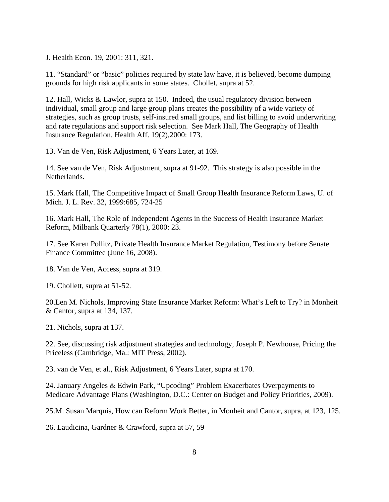J. Health Econ. 19, 2001: 311, 321.

 $\overline{a}$ 

11. "Standard" or "basic" policies required by state law have, it is believed, become dumping grounds for high risk applicants in some states. Chollet, supra at 52.

12. Hall, Wicks & Lawlor, supra at 150. Indeed, the usual regulatory division between individual, small group and large group plans creates the possibility of a wide variety of strategies, such as group trusts, self-insured small groups, and list billing to avoid underwriting and rate regulations and support risk selection. See Mark Hall, The Geography of Health Insurance Regulation, Health Aff. 19(2),2000: 173.

13. Van de Ven, Risk Adjustment, 6 Years Later, at 169.

14. See van de Ven, Risk Adjustment, supra at 91-92. This strategy is also possible in the Netherlands.

15. Mark Hall, The Competitive Impact of Small Group Health Insurance Reform Laws, U. of Mich. J. L. Rev. 32, 1999:685, 724-25

16. Mark Hall, The Role of Independent Agents in the Success of Health Insurance Market Reform, Milbank Quarterly 78(1), 2000: 23.

17. See Karen Pollitz, Private Health Insurance Market Regulation, Testimony before Senate Finance Committee (June 16, 2008).

18. Van de Ven, Access, supra at 319.

19. Chollett, supra at 51-52.

20.Len M. Nichols, Improving State Insurance Market Reform: What's Left to Try? in Monheit & Cantor, supra at 134, 137.

21. Nichols, supra at 137.

22. See, discussing risk adjustment strategies and technology, Joseph P. Newhouse, Pricing the Priceless (Cambridge, Ma.: MIT Press, 2002).

23. van de Ven, et al., Risk Adjustment, 6 Years Later, supra at 170.

24. January Angeles & Edwin Park, "Upcoding" Problem Exacerbates Overpayments to Medicare Advantage Plans (Washington, D.C.: Center on Budget and Policy Priorities, 2009).

25.M. Susan Marquis, How can Reform Work Better, in Monheit and Cantor, supra, at 123, 125.

26. Laudicina, Gardner & Crawford, supra at 57, 59